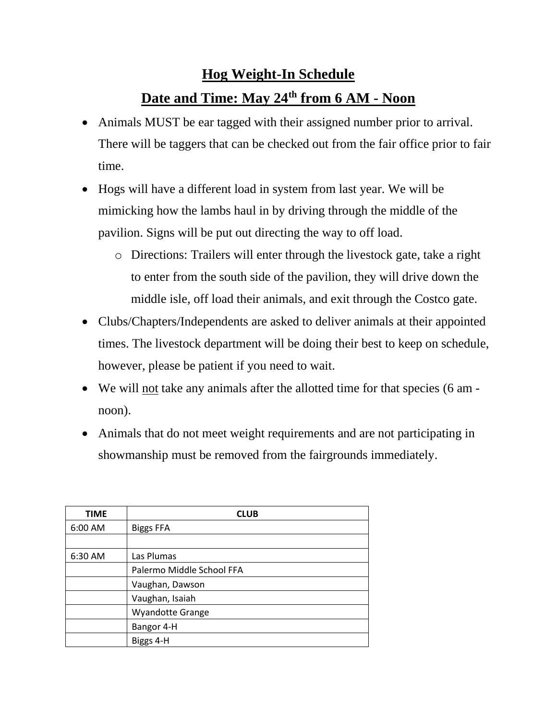## **Hog Weight-In Schedule Date and Time: May 24th from 6 AM - Noon**

- Animals MUST be ear tagged with their assigned number prior to arrival. There will be taggers that can be checked out from the fair office prior to fair time.
- Hogs will have a different load in system from last year. We will be mimicking how the lambs haul in by driving through the middle of the pavilion. Signs will be put out directing the way to off load.
	- o Directions: Trailers will enter through the livestock gate, take a right to enter from the south side of the pavilion, they will drive down the middle isle, off load their animals, and exit through the Costco gate.
- Clubs/Chapters/Independents are asked to deliver animals at their appointed times. The livestock department will be doing their best to keep on schedule, however, please be patient if you need to wait.
- We will not take any animals after the allotted time for that species (6 am noon).
- Animals that do not meet weight requirements and are not participating in showmanship must be removed from the fairgrounds immediately.

| <b>TIME</b> | <b>CLUB</b>               |
|-------------|---------------------------|
| 6:00 AM     | <b>Biggs FFA</b>          |
|             |                           |
| 6:30 AM     | Las Plumas                |
|             | Palermo Middle School FFA |
|             | Vaughan, Dawson           |
|             | Vaughan, Isaiah           |
|             | <b>Wyandotte Grange</b>   |
|             | Bangor 4-H                |
|             | Biggs 4-H                 |